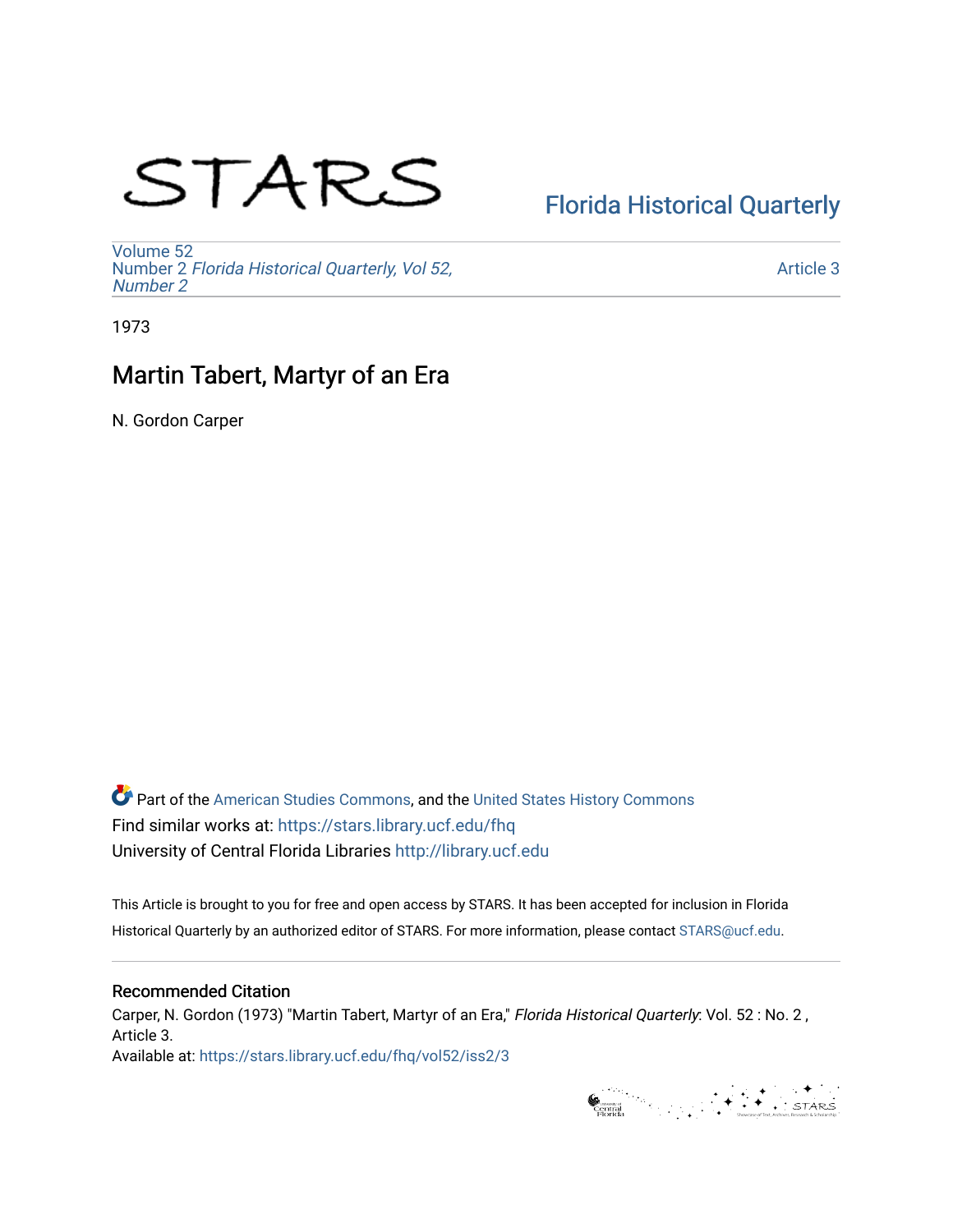# STARS

# [Florida Historical Quarterly](https://stars.library.ucf.edu/fhq)

[Volume 52](https://stars.library.ucf.edu/fhq/vol52) Number 2 [Florida Historical Quarterly, Vol 52,](https://stars.library.ucf.edu/fhq/vol52/iss2)  [Number 2](https://stars.library.ucf.edu/fhq/vol52/iss2)

[Article 3](https://stars.library.ucf.edu/fhq/vol52/iss2/3) 

1973

## Martin Tabert, Martyr of an Era

N. Gordon Carper

**C** Part of the [American Studies Commons](http://network.bepress.com/hgg/discipline/439?utm_source=stars.library.ucf.edu%2Ffhq%2Fvol52%2Fiss2%2F3&utm_medium=PDF&utm_campaign=PDFCoverPages), and the United States History Commons Find similar works at: <https://stars.library.ucf.edu/fhq> University of Central Florida Libraries [http://library.ucf.edu](http://library.ucf.edu/) 

This Article is brought to you for free and open access by STARS. It has been accepted for inclusion in Florida Historical Quarterly by an authorized editor of STARS. For more information, please contact [STARS@ucf.edu.](mailto:STARS@ucf.edu)

## Recommended Citation

Carper, N. Gordon (1973) "Martin Tabert, Martyr of an Era," Florida Historical Quarterly: Vol. 52 : No. 2, Article 3. Available at: [https://stars.library.ucf.edu/fhq/vol52/iss2/3](https://stars.library.ucf.edu/fhq/vol52/iss2/3?utm_source=stars.library.ucf.edu%2Ffhq%2Fvol52%2Fiss2%2F3&utm_medium=PDF&utm_campaign=PDFCoverPages) 

 $\begin{picture}(150,10) \put(0,0){\line(1,0){100}} \put(15,0){\line(1,0){100}} \put(15,0){\line(1,0){100}} \put(15,0){\line(1,0){100}} \put(15,0){\line(1,0){100}} \put(15,0){\line(1,0){100}} \put(15,0){\line(1,0){100}} \put(15,0){\line(1,0){100}} \put(15,0){\line(1,0){100}} \put(15,0){\line(1,0){100}} \put(15,0){\line(1,0){100}}$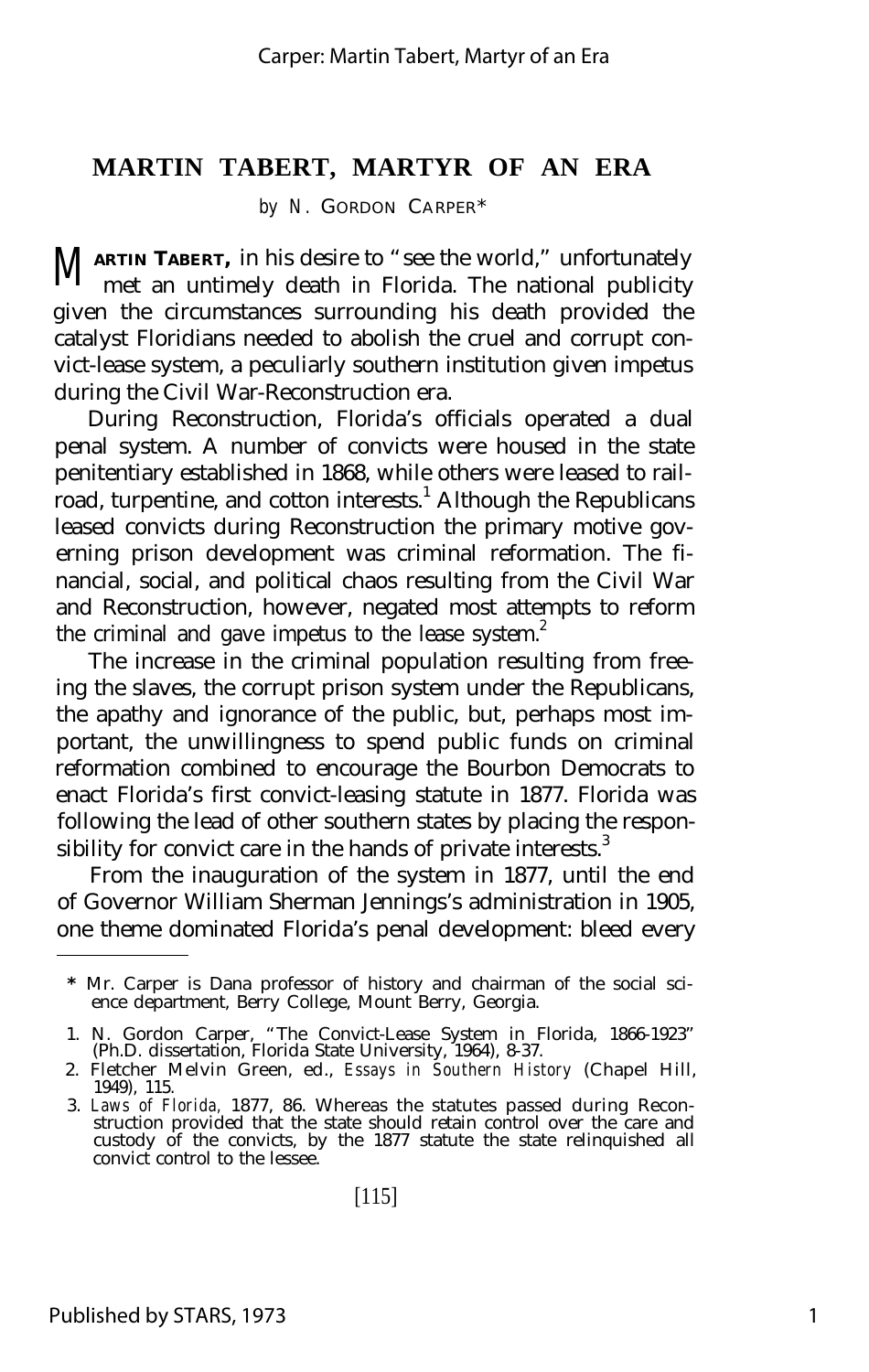*by N.* GORDON CARPER\*

**MARTIN TABERT**, in his desire to "see the world," unfortunately met an untimely death in Florida. The national publicity given the circumstances surrounding his death provided the catalyst Floridians needed to abolish the cruel and corrupt convict-lease system, a peculiarly southern institution given impetus during the Civil War-Reconstruction era.

During Reconstruction, Florida's officials operated a dual penal system. A number of convicts were housed in the state penitentiary established in 1868, while others were leased to railroad, turpentine, and cotton interests.<sup>1</sup> Although the Republicans leased convicts during Reconstruction the primary motive governing prison development was criminal reformation. The financial, social, and political chaos resulting from the Civil War and Reconstruction, however, negated most attempts to reform the criminal and gave impetus to the lease system. $2$ 

The increase in the criminal population resulting from freeing the slaves, the corrupt prison system under the Republicans, the apathy and ignorance of the public, but, perhaps most important, the unwillingness to spend public funds on criminal reformation combined to encourage the Bourbon Democrats to enact Florida's first convict-leasing statute in 1877. Florida was following the lead of other southern states by placing the responsibility for convict care in the hands of private interests.<sup>3</sup>

From the inauguration of the system in 1877, until the end of Governor William Sherman Jennings's administration in 1905, one theme dominated Florida's penal development: bleed every

**<sup>\*</sup>** Mr. Carper is Dana professor of history and chairman of the social science department, Berry College, Mount Berry, Georgia.

<sup>1.</sup> N. Gordon Carper, "The Convict-Lease System in Florida, 1866-1923" (Ph.D. dissertation, Florida State University, 1964), 8-37.

<sup>2.</sup> Fletcher Melvin Green, ed., *Essays in Southern History* (Chapel Hill, 1949), 115.

<sup>3.</sup> *Laws of Florida,* 1877, 86. Whereas the statutes passed during Recon-struction provided that the state should retain control over the care and custody of the convicts, by the 1877 statute the state relinquished all convict control to the lessee.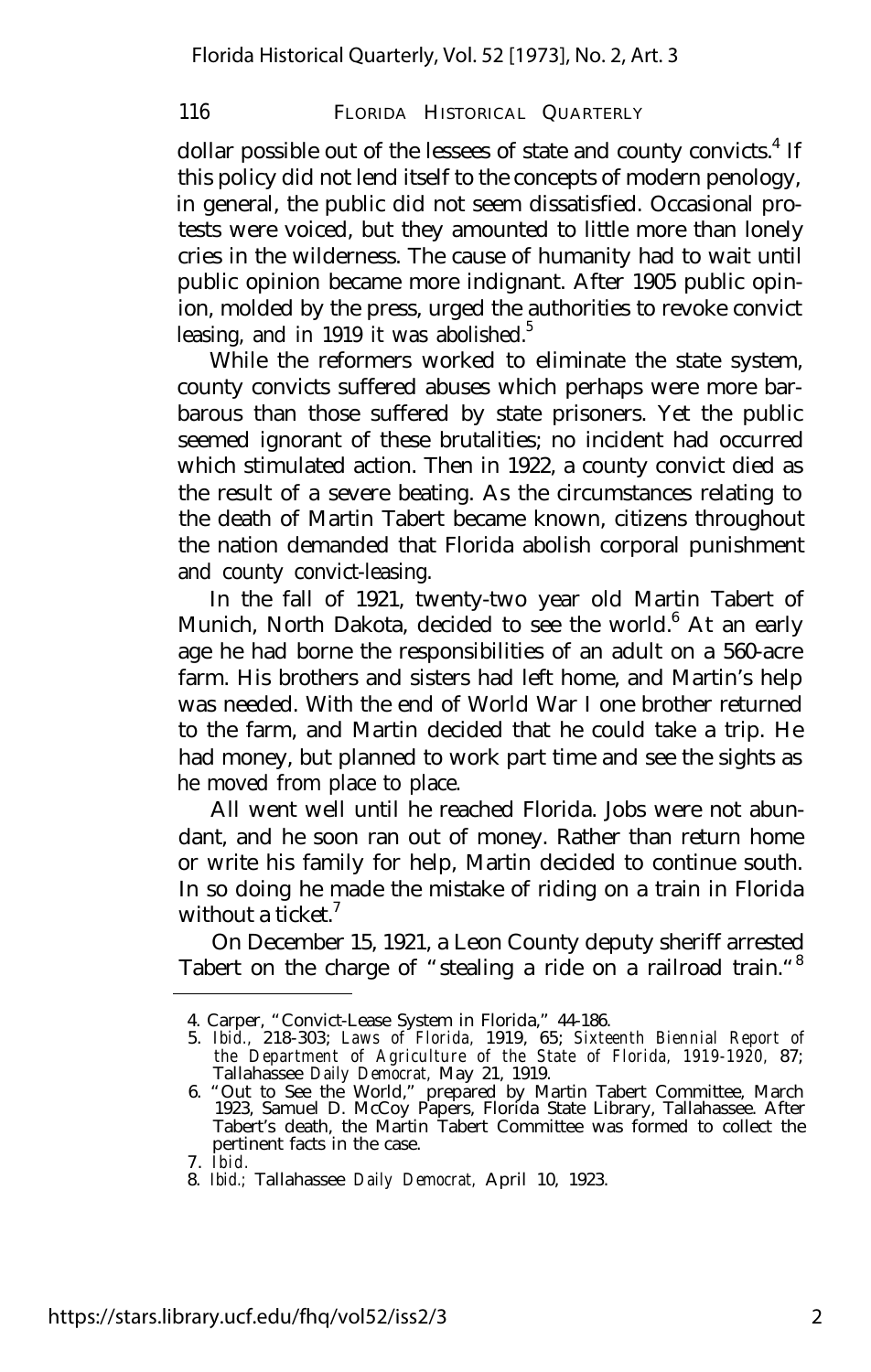dollar possible out of the lessees of state and county convicts.<sup>4</sup> If this policy did not lend itself to the concepts of modern penology, in general, the public did not seem dissatisfied. Occasional protests were voiced, but they amounted to little more than lonely cries in the wilderness. The cause of humanity had to wait until public opinion became more indignant. After 1905 public opinion, molded by the press, urged the authorities to revoke convict leasing, and in 1919 it was abolished.<sup>5</sup>

While the reformers worked to eliminate the state system, county convicts suffered abuses which perhaps were more barbarous than those suffered by state prisoners. Yet the public seemed ignorant of these brutalities; no incident had occurred which stimulated action. Then in 1922, a county convict died as the result of a severe beating. As the circumstances relating to the death of Martin Tabert became known, citizens throughout the nation demanded that Florida abolish corporal punishment and county convict-leasing.

In the fall of 1921, twenty-two year old Martin Tabert of Munich, North Dakota, decided to see the world.<sup>6</sup> At an early age he had borne the responsibilities of an adult on a 560-acre farm. His brothers and sisters had left home, and Martin's help was needed. With the end of World War I one brother returned to the farm, and Martin decided that he could take a trip. He had money, but planned to work part time and see the sights as he moved from place to place.

All went well until he reached Florida. Jobs were not abundant, and he soon ran out of money. Rather than return home or write his family for help, Martin decided to continue south. In so doing he made the mistake of riding on a train in Florida without a ticket  $^7$ 

On December 15, 1921, a Leon County deputy sheriff arrested Tabert on the charge of "stealing a ride on a railroad train."<sup>8</sup>

<sup>4.</sup> Carper, "Convict-Lease System in Florida," 44-186.

<sup>5.</sup> *Ibid.,* 218-303; *Laws of Florida,* 1919, 65; *Sixteenth Biennial Report of the Department of Agriculture of the State of Florida, 1919-1920,* 87; Tallahassee *Daily Democrat,* May 21, 1919.

<sup>6. &</sup>quot;Out to See the World," prepared by Martin Tabert Committee, March 1923, Samuel D. McCoy Papers, Florida State Library, Tallahassee. After Tabert's death, the Martin Tabert Committee was formed to collect the pertinent facts in the case.

<sup>7.</sup> *Ibid.*

<sup>8.</sup> *Ibid.;* Tallahassee *Daily Democrat,* April 10, 1923.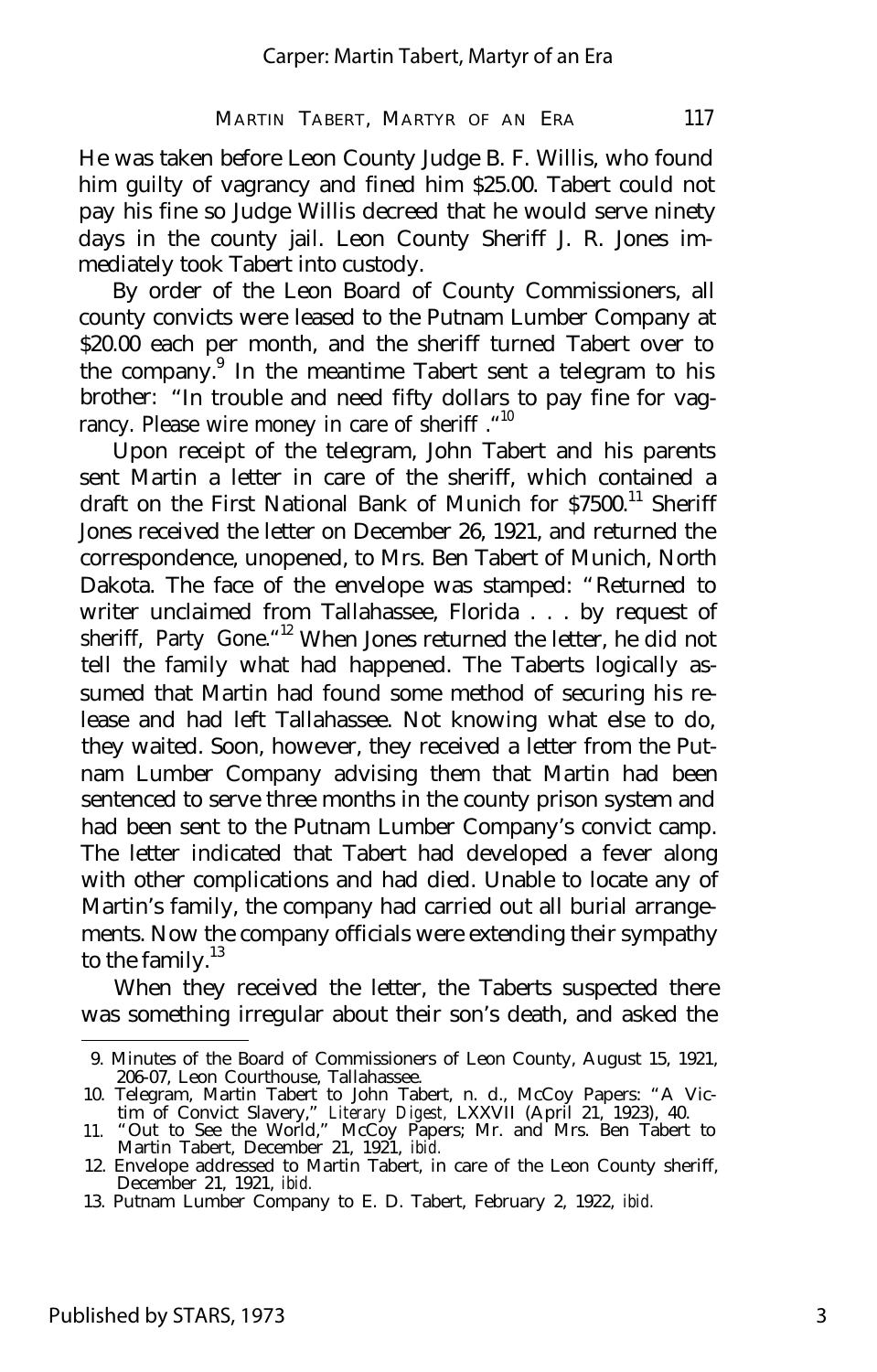He was taken before Leon County Judge B. F. Willis, who found him guilty of vagrancy and fined him \$25.00. Tabert could not pay his fine so Judge Willis decreed that he would serve ninety days in the county jail. Leon County Sheriff J. R. Jones immediately took Tabert into custody.

By order of the Leon Board of County Commissioners, all county convicts were leased to the Putnam Lumber Company at \$20.00 each per month, and the sheriff turned Tabert over to the company.<sup>9</sup> In the meantime Tabert sent a telegram to his brother: "In trouble and need fifty dollars to pay fine for vagrancy. Please wire money in care of sheriff . "10

Upon receipt of the telegram, John Tabert and his parents sent Martin a letter in care of the sheriff, which contained a draft on the First National Bank of Munich for \$7500.<sup>11</sup> Sheriff Jones received the letter on December 26, 1921, and returned the correspondence, unopened, to Mrs. Ben Tabert of Munich, North Dakota. The face of the envelope was stamped: "Returned to writer unclaimed from Tallahassee, Florida . . . by request of sheriff, Party Gone."<sup>12</sup> When Jones returned the letter, he did not tell the family what had happened. The Taberts logically assumed that Martin had found some method of securing his release and had left Tallahassee. Not knowing what else to do, they waited. Soon, however, they received a letter from the Putnam Lumber Company advising them that Martin had been sentenced to serve three months in the county prison system and had been sent to the Putnam Lumber Company's convict camp. The letter indicated that Tabert had developed a fever along with other complications and had died. Unable to locate any of Martin's family, the company had carried out all burial arrangements. Now the company officials were extending their sympathy to the family. $13$ 

When they received the letter, the Taberts suspected there was something irregular about their son's death, and asked the

<sup>9.</sup> Minutes of the Board of Commissioners of Leon County, August 15, 1921,

<sup>206-07,</sup> Leon Courthouse, Tallahassee. 10. Telegram, Martin Tabert to John Tabert, n. d., McCoy Papers: "A Vic-

tim of Convict Slavery," *Literary Digest,* LXXVII (April 21, 1923), 40. 11. "Out to See the World," McCoy Papers; Mr. and Mrs. Ben Tabert to Martin Tabert, December 21, 1921, *ibid.*

<sup>12.</sup> Envelope addressed to Martin Tabert, in care of the Leon County sheriff, December 21, 1921, *ibid.*

<sup>13.</sup> Putnam Lumber Company to E. D. Tabert, February 2, 1922, *ibid.*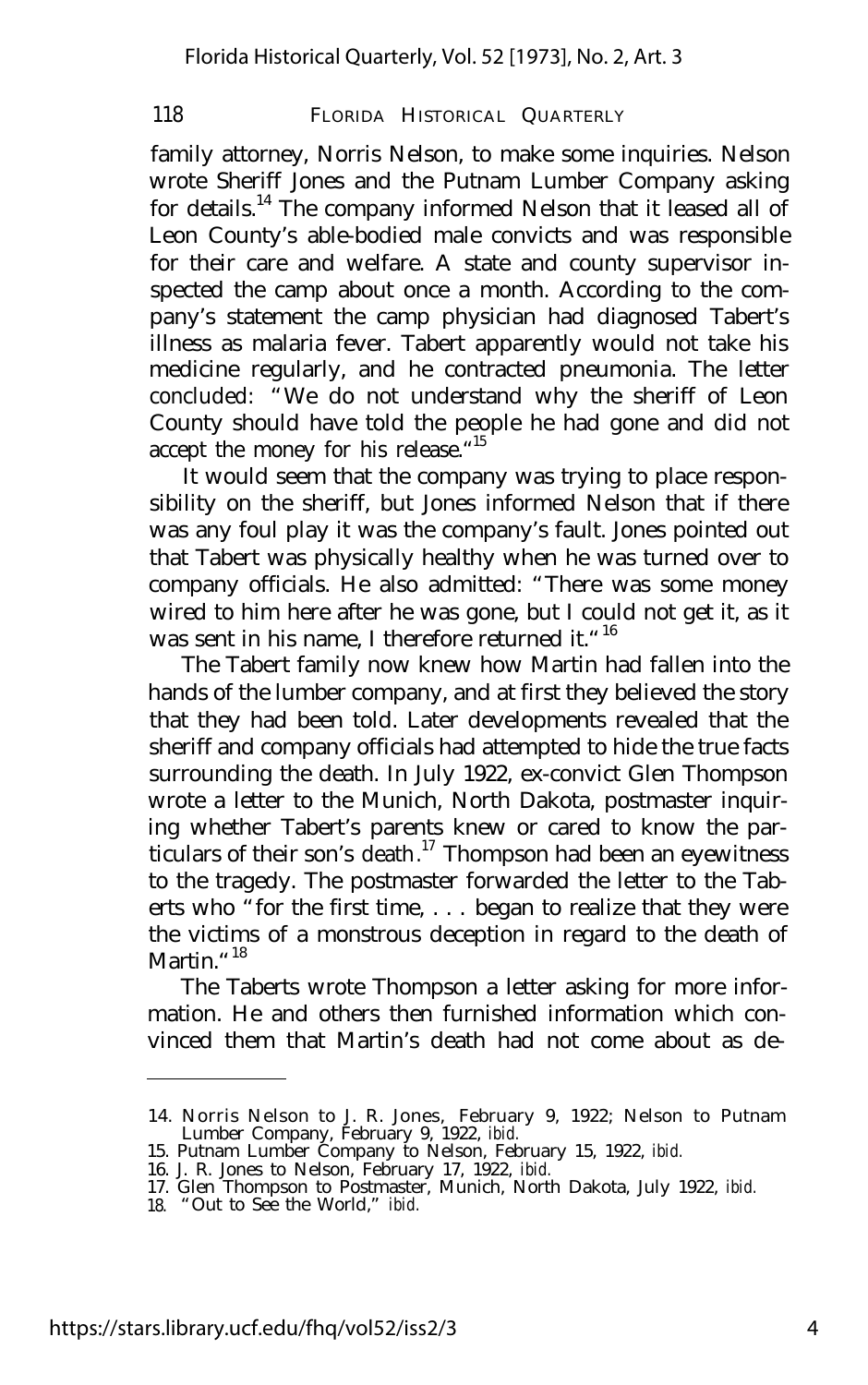family attorney, Norris Nelson, to make some inquiries. Nelson wrote Sheriff Jones and the Putnam Lumber Company asking for details.<sup>14</sup> The company informed Nelson that it leased all of Leon County's able-bodied male convicts and was responsible for their care and welfare. A state and county supervisor inspected the camp about once a month. According to the company's statement the camp physician had diagnosed Tabert's illness as malaria fever. Tabert apparently would not take his medicine regularly, and he contracted pneumonia. The letter concluded: "We do not understand why the sheriff of Leon County should have told the people he had gone and did not accept the money for his release.<sup>"15</sup>

It would seem that the company was trying to place responsibility on the sheriff, but Jones informed Nelson that if there was any foul play it was the company's fault. Jones pointed out that Tabert was physically healthy when he was turned over to company officials. He also admitted: "There was some money wired to him here after he was gone, but I could not get it, as it was sent in his name, I therefore returned it. "<sup>16</sup>

The Tabert family now knew how Martin had fallen into the hands of the lumber company, and at first they believed the story that they had been told. Later developments revealed that the sheriff and company officials had attempted to hide the true facts surrounding the death. In July 1922, ex-convict Glen Thompson wrote a letter to the Munich, North Dakota, postmaster inquiring whether Tabert's parents knew or cared to know the particulars of their son's death.<sup>17</sup> Thompson had been an eyewitness to the tragedy. The postmaster forwarded the letter to the Taberts who "for the first time, . . . began to realize that they were the victims of a monstrous deception in regard to the death of Martin<sup>"18</sup>

The Taberts wrote Thompson a letter asking for more information. He and others then furnished information which convinced them that Martin's death had not come about as de-

<sup>14.</sup> Norris Nelson to J. R. Jones, February 9, 1922; Nelson to Putnam Lumber Company, February 9, 1922, *ibid.* 15. Putnam Lumber Company to Nelson, February 15, 1922, *ibid.*

<sup>16.</sup> J. R. Jones to Nelson, February 17, 1922, *ibid.* 17. Glen Thompson to Postmaster, Munich, North Dakota, July 1922, *ibid.*

<sup>18.</sup> "Out to See the World," *ibid.*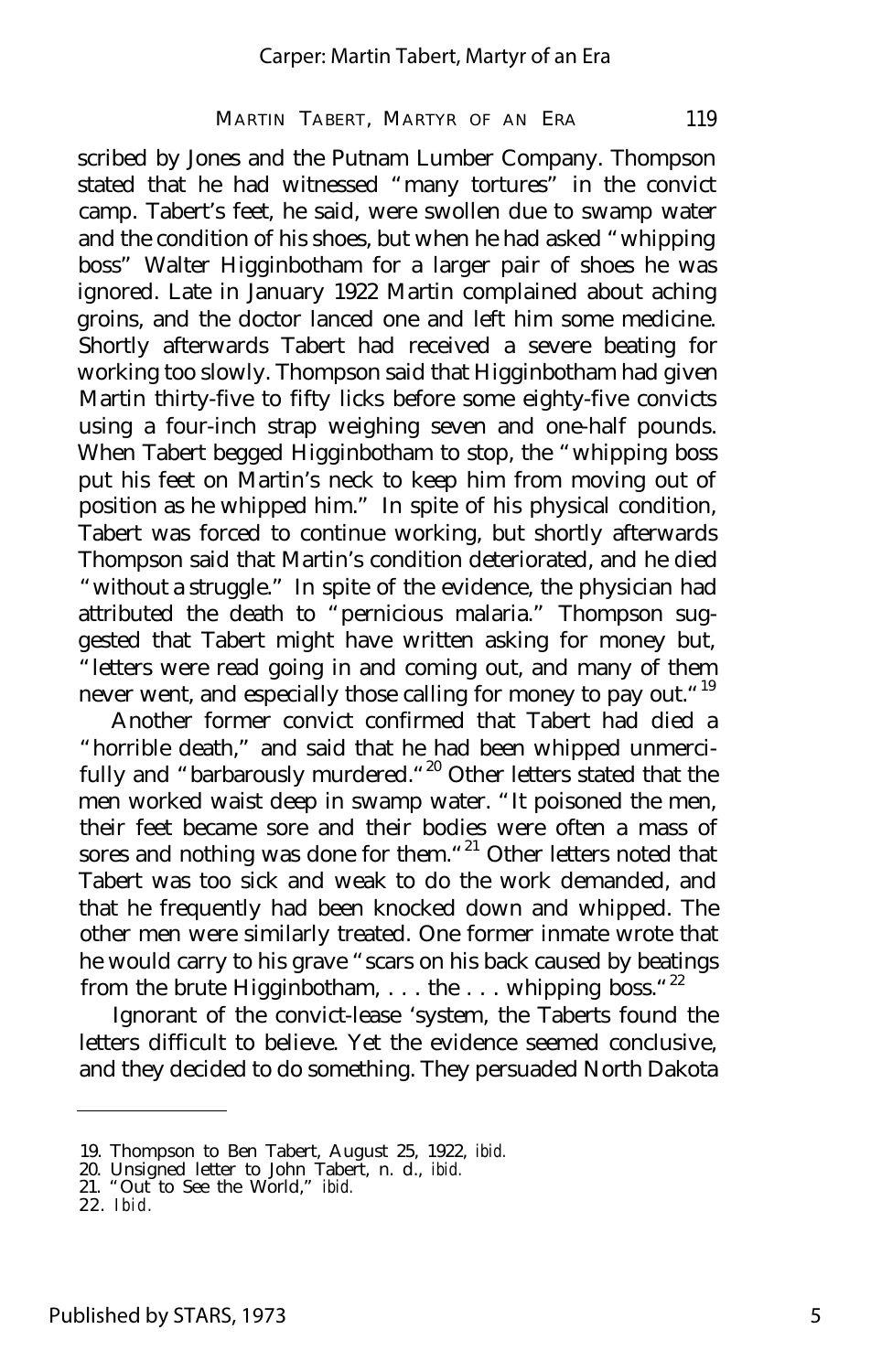scribed by Jones and the Putnam Lumber Company. Thompson stated that he had witnessed "many tortures" in the convict camp. Tabert's feet, he said, were swollen due to swamp water and the condition of his shoes, but when he had asked "whipping boss" Walter Higginbotham for a larger pair of shoes he was ignored. Late in January 1922 Martin complained about aching groins, and the doctor lanced one and left him some medicine. Shortly afterwards Tabert had received a severe beating for working too slowly. Thompson said that Higginbotham had given Martin thirty-five to fifty licks before some eighty-five convicts using a four-inch strap weighing seven and one-half pounds. When Tabert begged Higginbotham to stop, the "whipping boss put his feet on Martin's neck to keep him from moving out of position as he whipped him." In spite of his physical condition, Tabert was forced to continue working, but shortly afterwards Thompson said that Martin's condition deteriorated, and he died "without a struggle." In spite of the evidence, the physician had attributed the death to "pernicious malaria." Thompson suggested that Tabert might have written asking for money but, "letters were read going in and coming out, and many of them never went, and especially those calling for money to pay out."<sup>19</sup>

Another former convict confirmed that Tabert had died a "horrible death," and said that he had been whipped unmercifully and "barbarously murdered."<sup>20</sup> Other letters stated that the men worked waist deep in swamp water. "It poisoned the men, their feet became sore and their bodies were often a mass of sores and nothing was done for them."<sup>21</sup> Other letters noted that Tabert was too sick and weak to do the work demanded, and that he frequently had been knocked down and whipped. The other men were similarly treated. One former inmate wrote that he would carry to his grave "scars on his back caused by beatings from the brute Higginbotham,  $\dots$  the  $\dots$  whipping boss. "<sup>22</sup>

Ignorant of the convict-lease 'system, the Taberts found the letters difficult to believe. Yet the evidence seemed conclusive, and they decided to do something. They persuaded North Dakota

<sup>19.</sup> Thompson to Ben Tabert, August 25, 1922, *ibid.*

<sup>20.</sup> Unsigned letter to John Tabert, n. d., *ibid.* 21. "Out to See the World," *ibid.*

<sup>22.</sup> *Ibid.*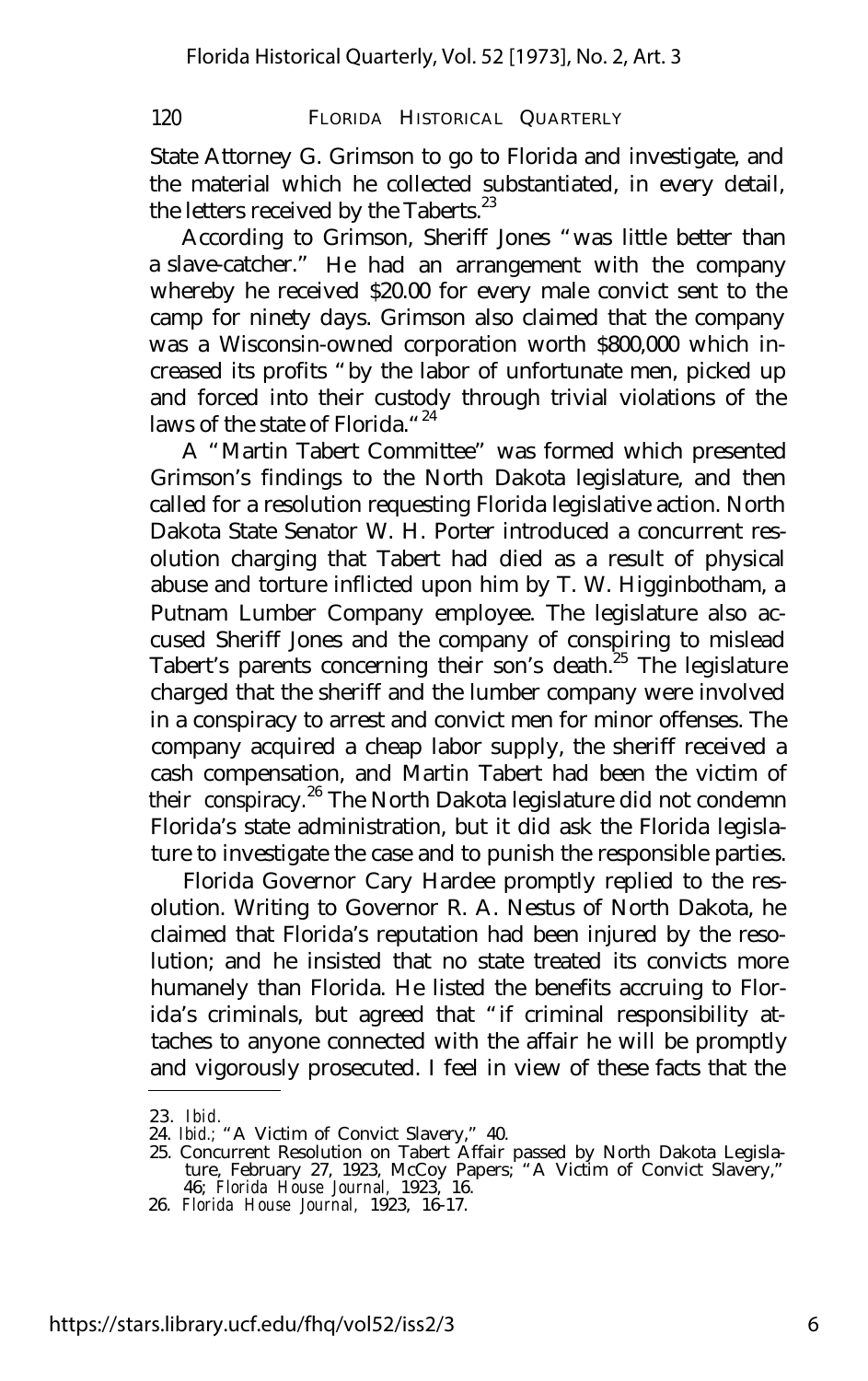State Attorney G. Grimson to go to Florida and investigate, and the material which he collected substantiated, in every detail, the letters received by the Taberts.<sup>23</sup>

According to Grimson, Sheriff Jones "was little better than a slave-catcher." He had an arrangement with the company whereby he received \$20.00 for every male convict sent to the camp for ninety days. Grimson also claimed that the company was a Wisconsin-owned corporation worth \$800,000 which increased its profits "by the labor of unfortunate men, picked up and forced into their custody through trivial violations of the laws of the state of Florida."<sup>24</sup>

A "Martin Tabert Committee" was formed which presented Grimson's findings to the North Dakota legislature, and then called for a resolution requesting Florida legislative action. North Dakota State Senator W. H. Porter introduced a concurrent resolution charging that Tabert had died as a result of physical abuse and torture inflicted upon him by T. W. Higginbotham, a Putnam Lumber Company employee. The legislature also accused Sheriff Jones and the company of conspiring to mislead Tabert's parents concerning their son's death.<sup>25</sup> The legislature charged that the sheriff and the lumber company were involved in a conspiracy to arrest and convict men for minor offenses. The company acquired a cheap labor supply, the sheriff received a cash compensation, and Martin Tabert had been the victim of their conspiracy.<sup>26</sup> The North Dakota legislature did not condemn Florida's state administration, but it did ask the Florida legislature to investigate the case and to punish the responsible parties.

Florida Governor Cary Hardee promptly replied to the resolution. Writing to Governor R. A. Nestus of North Dakota, he claimed that Florida's reputation had been injured by the resolution; and he insisted that no state treated its convicts more humanely than Florida. He listed the benefits accruing to Florida's criminals, but agreed that "if criminal responsibility attaches to anyone connected with the affair he will be promptly and vigorously prosecuted. I feel in view of these facts that the

<sup>23.</sup> *Ibid.*

<sup>24.</sup> Ibid.; "A Victim of Convict Slavery," 40.<br>25. Concurrent Resolution on Tabert Affair passed by North Dakota Legislature, February 27, 1923, McCoy Papers; "A Victim of Convict Slavery,"<br>46; Florida House Journal, 1923,

<sup>26.</sup> *Florida House Journal,* 1923, 16-17.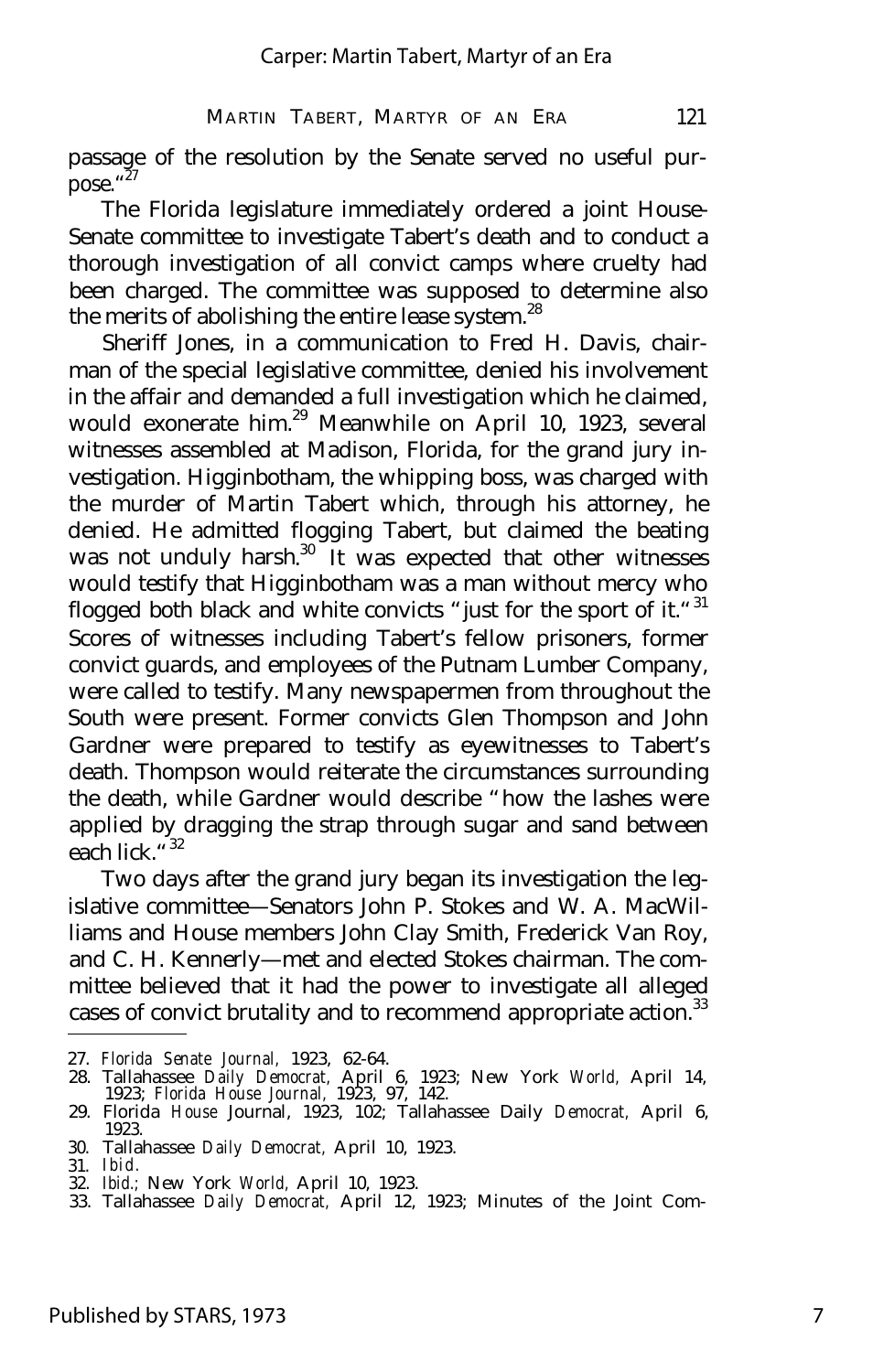passage of the resolution by the Senate served no useful purpose. 27

The Florida legislature immediately ordered a joint House-Senate committee to investigate Tabert's death and to conduct a thorough investigation of all convict camps where cruelty had been charged. The committee was supposed to determine also the merits of abolishing the entire lease system.<sup>28</sup>

Sheriff Jones, in a communication to Fred H. Davis, chairman of the special legislative committee, denied his involvement in the affair and demanded a full investigation which he claimed, would exonerate him.<sup>29</sup> Meanwhile on April 10, 1923, several witnesses assembled at Madison, Florida, for the grand jury investigation. Higginbotham, the whipping boss, was charged with the murder of Martin Tabert which, through his attorney, he denied. He admitted flogging Tabert, but claimed the beating was not unduly harsh.<sup>30</sup> It was expected that other witnesses would testify that Higginbotham was a man without mercy who flogged both black and white convicts "just for the sport of it."<sup>31</sup> Scores of witnesses including Tabert's fellow prisoners, former convict guards, and employees of the Putnam Lumber Company, were called to testify. Many newspapermen from throughout the South were present. Former convicts Glen Thompson and John Gardner were prepared to testify as eyewitnesses to Tabert's death. Thompson would reiterate the circumstances surrounding the death, while Gardner would describe "how the lashes were applied by dragging the strap through sugar and sand between each lick.<sup>"32</sup>

Two days after the grand jury began its investigation the legislative committee— Senators John P. Stokes and W. A. MacWilliams and House members John Clay Smith, Frederick Van Roy, and C. H. Kennerly— met and elected Stokes chairman. The committee believed that it had the power to investigate all alleged cases of convict brutality and to recommend appropriate action.<sup>33</sup>

<sup>27.</sup> *Florida Senate Journal,* 1923, 62-64.

<sup>28.</sup> Tallahassee *Daily Democrat,* April 6, 1923; New York *World,* April 14, 1923; *Florida House Journal,* 1923, 97, 142.

<sup>29.</sup> Florida *House* Journal, 1923, 102; Tallahassee Daily *Democrat,* April 6, 1923.

<sup>30.</sup> Tallahassee *Daily Democrat,* April 10, 1923.

<sup>31.</sup> *Ibid.*

<sup>32.</sup> *Ibid.;* New York *World,* April 10, 1923.

<sup>33.</sup> Tallahassee *Daily Democrat,* April 12, 1923; Minutes of the Joint Com-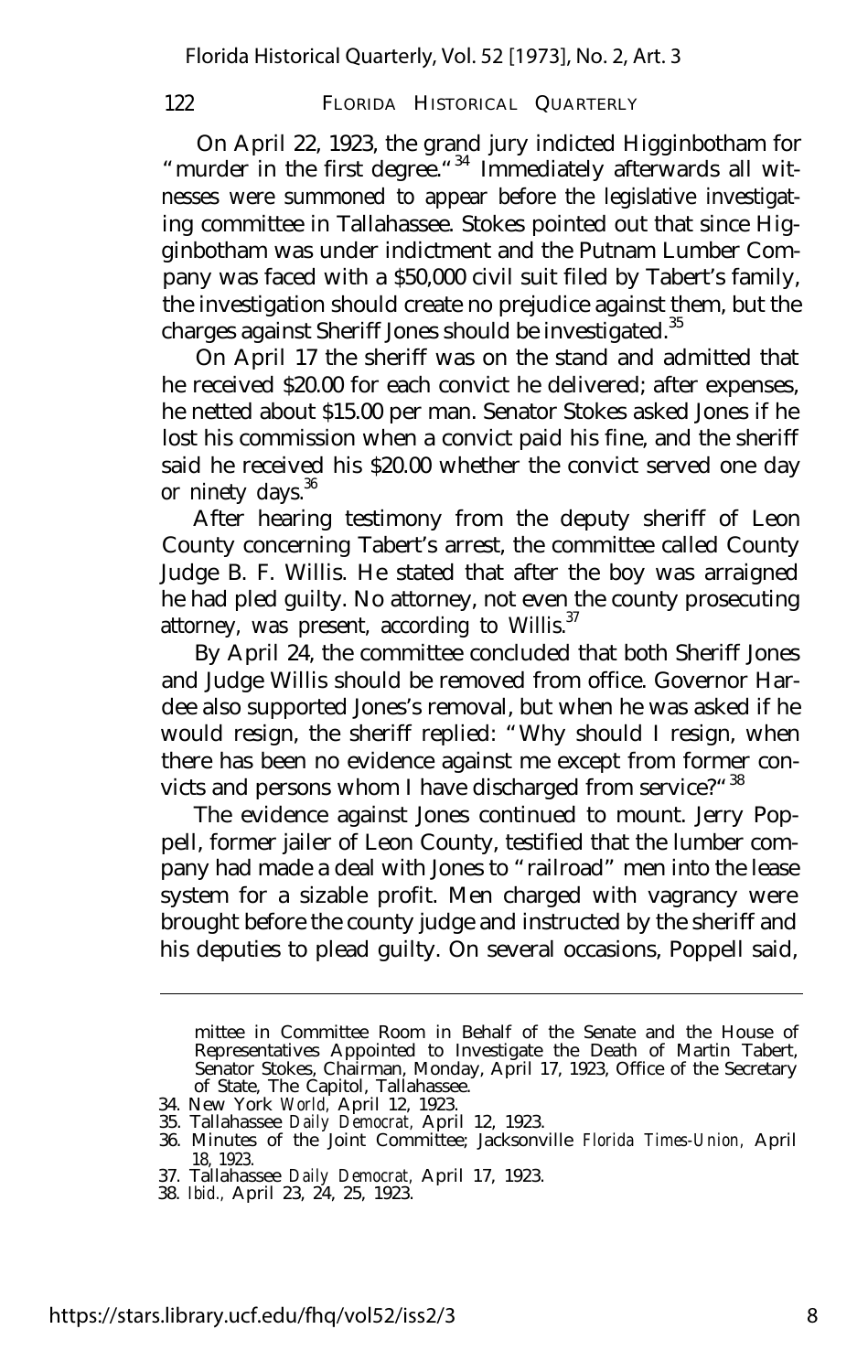On April 22, 1923, the grand jury indicted Higginbotham for "murder in the first degree."<sup>34</sup> Immediately afterwards all witnesses were summoned to appear before the legislative investigating committee in Tallahassee. Stokes pointed out that since Higginbotham was under indictment and the Putnam Lumber Company was faced with a \$50,000 civil suit filed by Tabert's family, the investigation should create no prejudice against them, but the charges against Sheriff Jones should be investigated.<sup>35</sup>

On April 17 the sheriff was on the stand and admitted that he received \$20.00 for each convict he delivered; after expenses, he netted about \$15.00 per man. Senator Stokes asked Jones if he lost his commission when a convict paid his fine, and the sheriff said he received his \$20.00 whether the convict served one day or ninety days.<sup>36</sup>

After hearing testimony from the deputy sheriff of Leon County concerning Tabert's arrest, the committee called County Judge B. F. Willis. He stated that after the boy was arraigned he had pled guilty. No attorney, not even the county prosecuting attorney, was present, according to Willis.<sup>37</sup>

By April 24, the committee concluded that both Sheriff Jones and Judge Willis should be removed from office. Governor Hardee also supported Jones's removal, but when he was asked if he would resign, the sheriff replied: "Why should I resign, when there has been no evidence against me except from former convicts and persons whom I have discharged from service?"<sup>38</sup>

The evidence against Jones continued to mount. Jerry Poppell, former jailer of Leon County, testified that the lumber company had made a deal with Jones to "railroad" men into the lease system for a sizable profit. Men charged with vagrancy were brought before the county judge and instructed by the sheriff and his deputies to plead guilty. On several occasions, Poppell said,

mittee in Committee Room in Behalf of the Senate and the House of Representatives Appointed to Investigate the Death of Martin Tabert, Senator Stokes, Chairman, Monday, April 17, 1923, Office of the Secretary of State, The Capitol, Tallahassee.

<sup>34.</sup> New York *World,* April 12, 1923. 35. Tallahassee *Daily Democrat,* April 12, 1923.

<sup>36.</sup> Minutes of the Joint Committee; Jacksonville *Florida Times-Union,* April 18, 1923.

<sup>37.</sup> Tallahassee *Daily Democrat,* April 17, 1923.

<sup>38.</sup> *Ibid.,* April 23, 24, 25, 1923.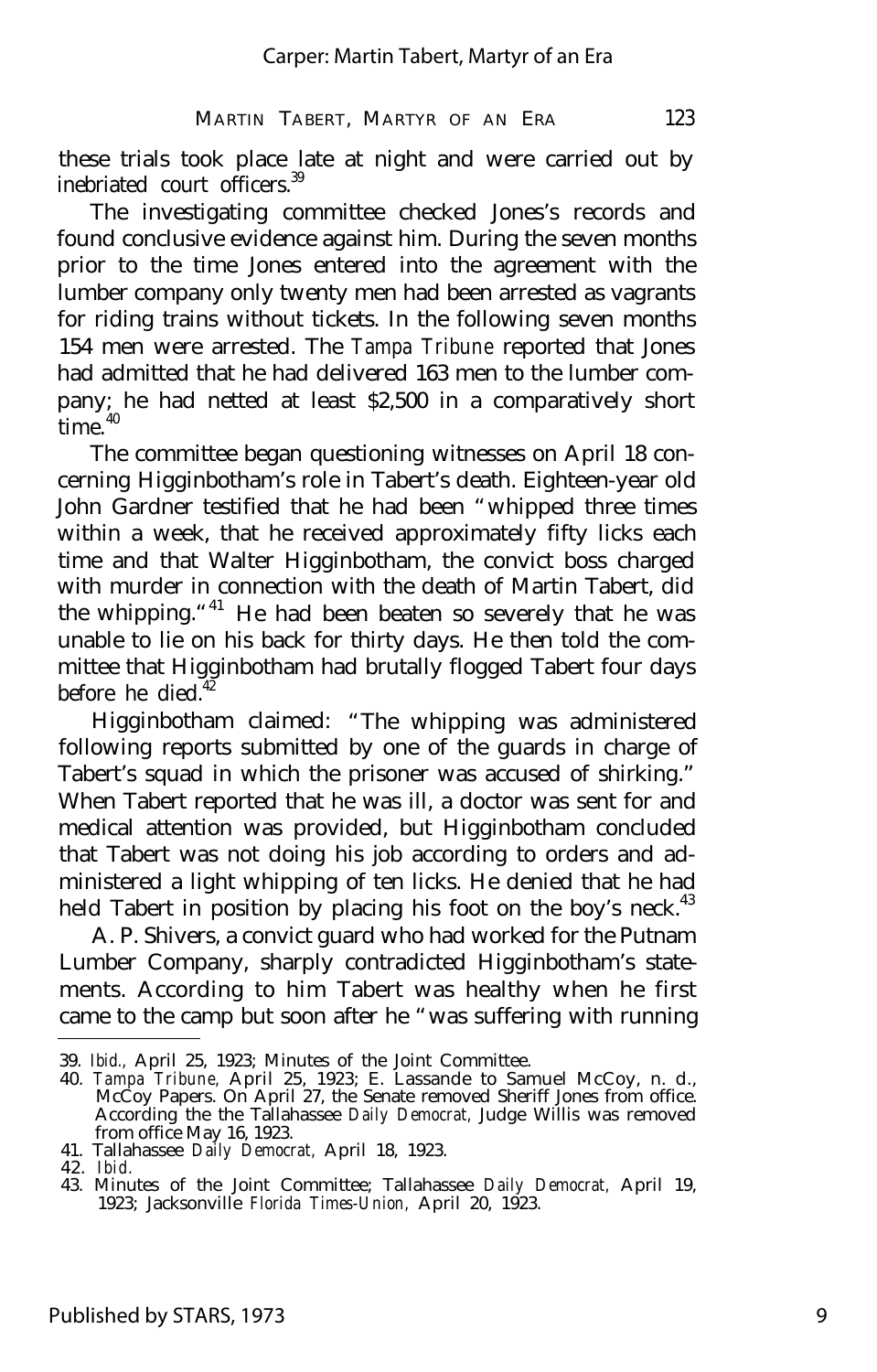these trials took place late at night and were carried out by inebriated court officers.<sup>39</sup>

The investigating committee checked Jones's records and found conclusive evidence against him. During the seven months prior to the time Jones entered into the agreement with the lumber company only twenty men had been arrested as vagrants for riding trains without tickets. In the following seven months 154 men were arrested. The *Tampa Tribune* reported that Jones had admitted that he had delivered 163 men to the lumber company; he had netted at least \$2,500 in a comparatively short time.<sup>40</sup>

The committee began questioning witnesses on April 18 concerning Higginbotham's role in Tabert's death. Eighteen-year old John Gardner testified that he had been "whipped three times within a week, that he received approximately fifty licks each time and that Walter Higginbotham, the convict boss charged with murder in connection with the death of Martin Tabert, did the whipping."<sup>41</sup> He had been beaten so severely that he was unable to lie on his back for thirty days. He then told the committee that Higginbotham had brutally flogged Tabert four days before he died.

Higginbotham claimed: "The whipping was administered following reports submitted by one of the guards in charge of Tabert's squad in which the prisoner was accused of shirking." When Tabert reported that he was ill, a doctor was sent for and medical attention was provided, but Higginbotham concluded that Tabert was not doing his job according to orders and administered a light whipping of ten licks. He denied that he had held Tabert in position by placing his foot on the boy's neck. $43$ 

A. P. Shivers, a convict guard who had worked for the Putnam Lumber Company, sharply contradicted Higginbotham's statements. According to him Tabert was healthy when he first came to the camp but soon after he "was suffering with running

<sup>39.</sup> *Ibid.,* April 25, 1923; Minutes of the Joint Committee.

<sup>40.</sup> *Tampa Tribune,* April 25, 1923; E. Lassande to Samuel McCoy, n. d., McCoy Papers. On April 27, the Senate removed Sheriff Jones from office. According the the Tallahassee *Daily Democrat,* Judge Willis was removed from office May 16, 1923.

<sup>41.</sup> Tallahassee *Daily Democrat,* April 18, 1923.

<sup>42.</sup> *Ibid.* 43. Minutes of the Joint Committee; Tallahassee *Daily Democrat,* April 19, 1923; Jacksonville *Florida Times-Union,* April 20, 1923.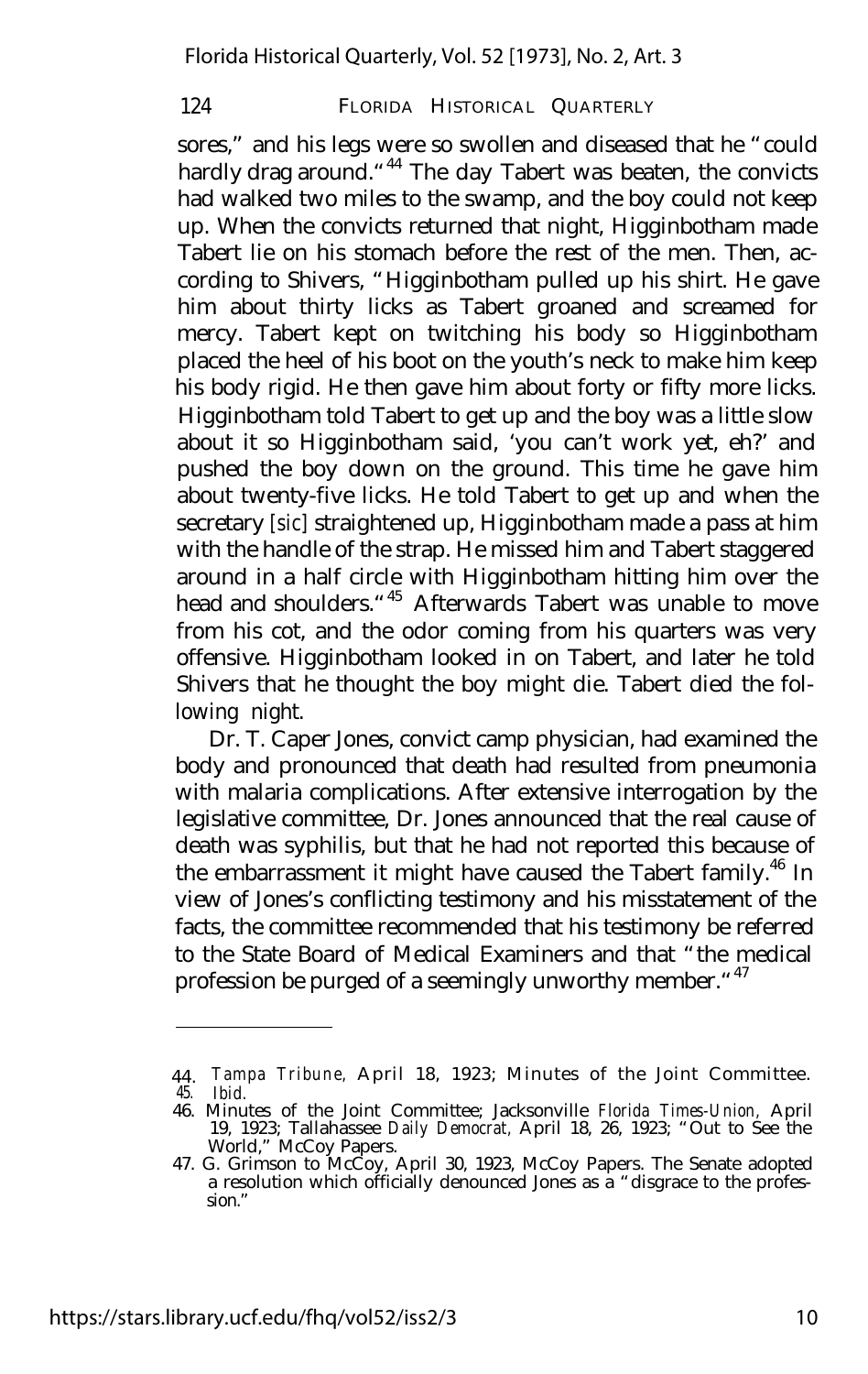sores," and his legs were so swollen and diseased that he "could hardly drag around."<sup>44</sup> The day Tabert was beaten, the convicts had walked two miles to the swamp, and the boy could not keep up. When the convicts returned that night, Higginbotham made Tabert lie on his stomach before the rest of the men. Then, according to Shivers, "Higginbotham pulled up his shirt. He gave him about thirty licks as Tabert groaned and screamed for mercy. Tabert kept on twitching his body so Higginbotham placed the heel of his boot on the youth's neck to make him keep his body rigid. He then gave him about forty or fifty more licks. Higginbotham told Tabert to get up and the boy was a little slow about it so Higginbotham said, 'you can't work yet, eh?' and pushed the boy down on the ground. This time he gave him about twenty-five licks. He told Tabert to get up and when the secretary *[sic]* straightened up, Higginbotham made a pass at him with the handle of the strap. He missed him and Tabert staggered around in a half circle with Higginbotham hitting him over the head and shoulders.<sup>"45</sup> Afterwards Tabert was unable to move from his cot, and the odor coming from his quarters was very offensive. Higginbotham looked in on Tabert, and later he told Shivers that he thought the boy might die. Tabert died the following night.

Dr. T. Caper Jones, convict camp physician, had examined the body and pronounced that death had resulted from pneumonia with malaria complications. After extensive interrogation by the legislative committee, Dr. Jones announced that the real cause of death was syphilis, but that he had not reported this because of the embarrassment it might have caused the Tabert family.<sup>46</sup> In view of Jones's conflicting testimony and his misstatement of the facts, the committee recommended that his testimony be referred to the State Board of Medical Examiners and that "the medical profession be purged of a seemingly unworthy member. "<sup>47</sup>

<sup>44.</sup> *Tampa Tribune,* April 18, 1923; Minutes of the Joint Committee. 45. *Ibid.*

<sup>46.</sup> Minutes of the Joint Committee; Jacksonville *Florida Times-Union,* April 19, 1923; Tallahassee *Daily Democrat,* April 18, 26, 1923; "Out to See the

World," McCoy Papers. 47. G. Grimson to McCoy, April 30, 1923, McCoy Papers. The Senate adopted a resolution which officially denounced Jones as a "disgrace to the profession."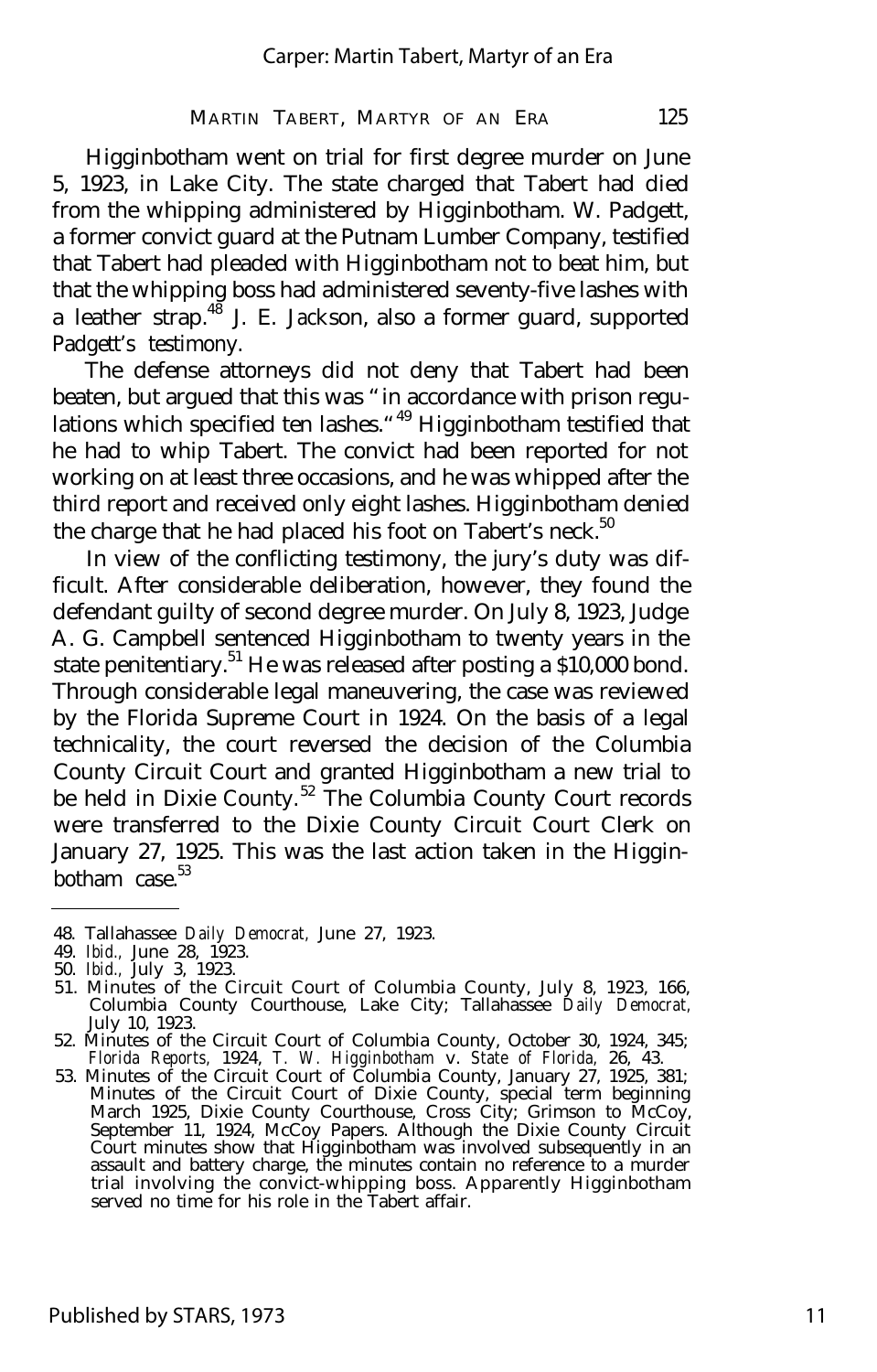Higginbotham went on trial for first degree murder on June 5, 1923, in Lake City. The state charged that Tabert had died from the whipping administered by Higginbotham. W. Padgett, a former convict guard at the Putnam Lumber Company, testified that Tabert had pleaded with Higginbotham not to beat him, but that the whipping boss had administered seventy-five lashes with a leather strap. $48$  J. E. Jackson, also a former guard, supported Padgett's testimony.

The defense attorneys did not deny that Tabert had been beaten, but argued that this was "in accordance with prison regulations which specified ten lashes. <sup>49</sup> Higginbotham testified that he had to whip Tabert. The convict had been reported for not working on at least three occasions, and he was whipped after the third report and received only eight lashes. Higginbotham denied the charge that he had placed his foot on Tabert's neck.<sup>50</sup>

In view of the conflicting testimony, the jury's duty was difficult. After considerable deliberation, however, they found the defendant guilty of second degree murder. On July 8, 1923, Judge A. G. Campbell sentenced Higginbotham to twenty years in the state penitentiary.<sup>51</sup> He was released after posting a \$10,000 bond. Through considerable legal maneuvering, the case was reviewed by the Florida Supreme Court in 1924. On the basis of a legal technicality, the court reversed the decision of the Columbia County Circuit Court and granted Higginbotham a new trial to be held in Dixie County.<sup>52</sup> The Columbia County Court records were transferred to the Dixie County Circuit Court Clerk on January 27, 1925. This was the last action taken in the Higginbotham case  $53$ 

48. Tallahassee *Daily Democrat,* June 27, 1923.

Published by STARS, 1973

<sup>49.</sup> *Ibid.,* June 28, 1923. 50. *Ibid.,* July 3, 1923.

<sup>51.</sup> Minutes of the Circuit Court of Columbia County, July 8, 1923, 166, Columbia County Courthouse, Lake City; Tallahassee *Daily Democrat,* July 10, 1923.

<sup>52.</sup> Minutes of the Circuit Court of Columbia County, October 30, 1924, 345; *Florida Reports,* 1924, *T. W. Higginbotham* v. *State of Florida,* 26, 43.

<sup>53.</sup> Minutes of the Circuit Court of Columbia County, January 27, 1925, 381; Minutes of the Circuit Court of Dixie County, special term beginning March 1925, Dixie County Courthouse, Cross City; Grimson to McCoy, September 11, 1924, McCoy Papers. Although the Dixie County Circuit Court minutes show that Higginbotham was involved subsequently in an assault and battery charge, the minutes contain no reference to a murder trial involving the convict-whipping boss. Apparently Higginbotham served no time for his role in the Tabert affair.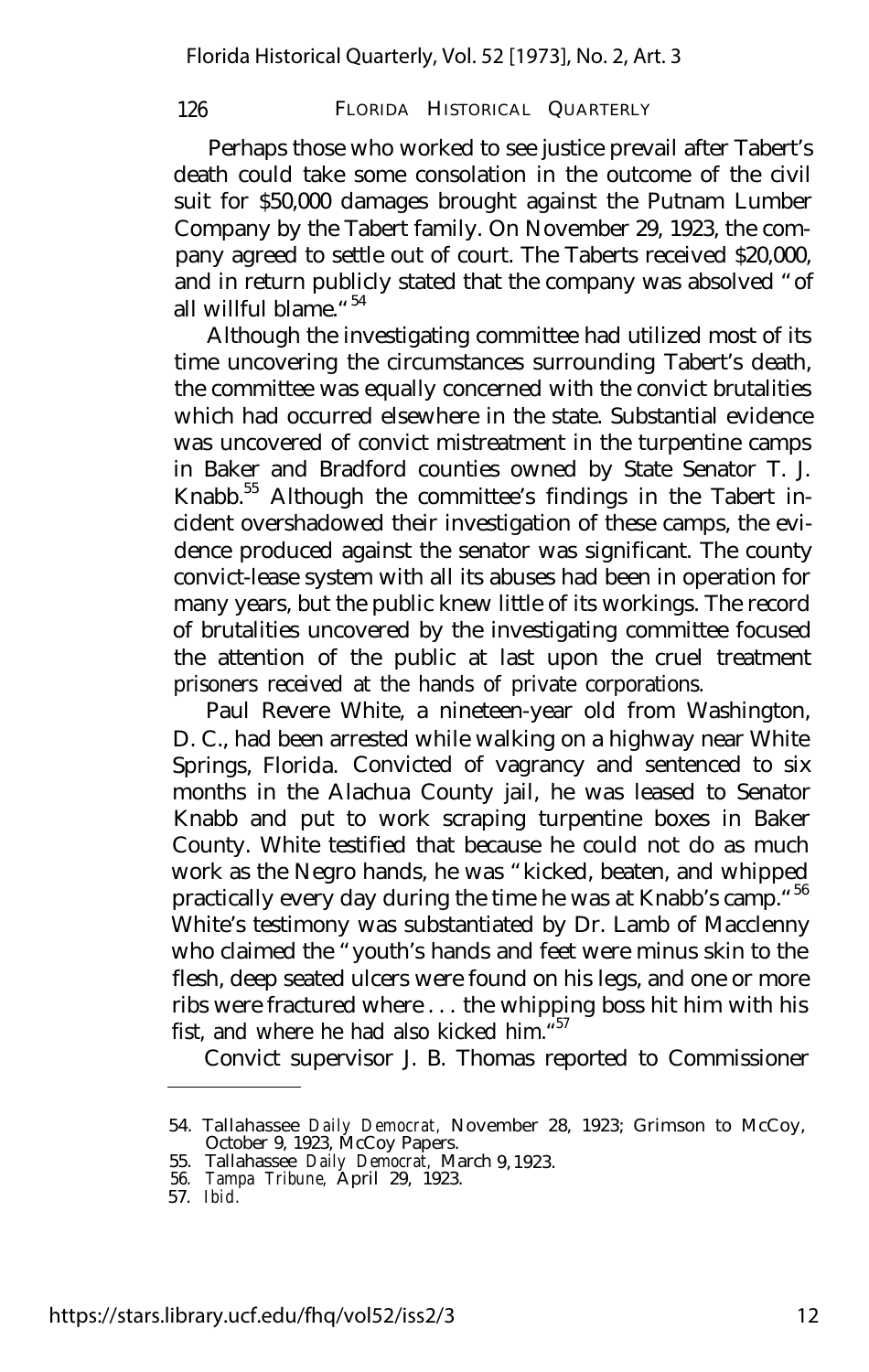Perhaps those who worked to see justice prevail after Tabert's death could take some consolation in the outcome of the civil suit for \$50,000 damages brought against the Putnam Lumber Company by the Tabert family. On November 29, 1923, the company agreed to settle out of court. The Taberts received \$20,000, and in return publicly stated that the company was absolved "of all willful blame."<sup>54</sup>

Although the investigating committee had utilized most of its time uncovering the circumstances surrounding Tabert's death, the committee was equally concerned with the convict brutalities which had occurred elsewhere in the state. Substantial evidence was uncovered of convict mistreatment in the turpentine camps in Baker and Bradford counties owned by State Senator T. J. Knabb.<sup>55</sup> Although the committee's findings in the Tabert incident overshadowed their investigation of these camps, the evidence produced against the senator was significant. The county convict-lease system with all its abuses had been in operation for many years, but the public knew little of its workings. The record of brutalities uncovered by the investigating committee focused the attention of the public at last upon the cruel treatment prisoners received at the hands of private corporations.

Paul Revere White, a nineteen-year old from Washington, D. C., had been arrested while walking on a highway near White Springs, Florida. Convicted of vagrancy and sentenced to six months in the Alachua County jail, he was leased to Senator Knabb and put to work scraping turpentine boxes in Baker County. White testified that because he could not do as much work as the Negro hands, he was "kicked, beaten, and whipped practically every day during the time he was at Knabb's camp."<sup>56</sup> White's testimony was substantiated by Dr. Lamb of Macclenny who claimed the "youth's hands and feet were minus skin to the flesh, deep seated ulcers were found on his legs, and one or more ribs were fractured where . . . the whipping boss hit him with his fist, and where he had also kicked him."<sup>57</sup>

Convict supervisor J. B. Thomas reported to Commissioner

<sup>54.</sup> Tallahassee *Daily Democrat,* November 28, 1923; Grimson to McCoy, October 9, 1923, McCoy Papers.

<sup>55.</sup> Tallahassee *Daily Democrat,* March 9, 1923. 56. *Tampa Tribune,* April 29, 1923.

<sup>57.</sup> *Ibid.*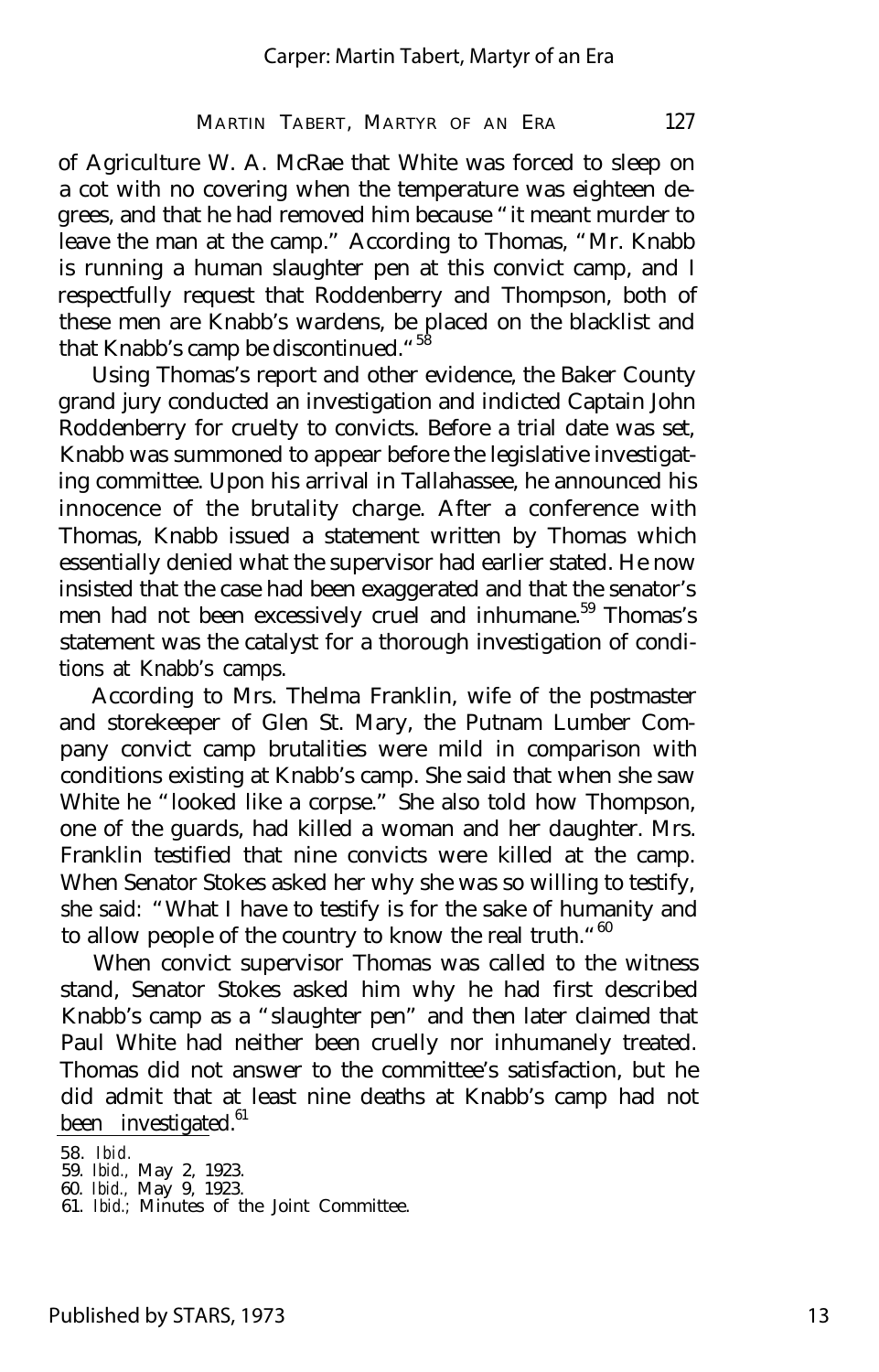of Agriculture W. A. McRae that White was forced to sleep on a cot with no covering when the temperature was eighteen degrees, and that he had removed him because "it meant murder to leave the man at the camp." According to Thomas, "Mr. Knabb is running a human slaughter pen at this convict camp, and I respectfully request that Roddenberry and Thompson, both of these men are Knabb's wardens, be placed on the blacklist and that Knabb's camp be discontinued."<sup>58</sup>

Using Thomas's report and other evidence, the Baker County grand jury conducted an investigation and indicted Captain John Roddenberry for cruelty to convicts. Before a trial date was set, Knabb was summoned to appear before the legislative investigating committee. Upon his arrival in Tallahassee, he announced his innocence of the brutality charge. After a conference with Thomas, Knabb issued a statement written by Thomas which essentially denied what the supervisor had earlier stated. He now insisted that the case had been exaggerated and that the senator's men had not been excessively cruel and inhumane.<sup>59</sup> Thomas's statement was the catalyst for a thorough investigation of conditions at Knabb's camps.

According to Mrs. Thelma Franklin, wife of the postmaster and storekeeper of Glen St. Mary, the Putnam Lumber Company convict camp brutalities were mild in comparison with conditions existing at Knabb's camp. She said that when she saw White he "looked like a corpse." She also told how Thompson, one of the guards, had killed a woman and her daughter. Mrs. Franklin testified that nine convicts were killed at the camp. When Senator Stokes asked her why she was so willing to testify, she said: "What I have to testify is for the sake of humanity and to allow people of the country to know the real truth."<sup>60</sup>

When convict supervisor Thomas was called to the witness stand, Senator Stokes asked him why he had first described Knabb's camp as a "slaughter pen" and then later claimed that Paul White had neither been cruelly nor inhumanely treated. Thomas did not answer to the committee's satisfaction, but he did admit that at least nine deaths at Knabb's camp had not been investigated.<sup>61</sup>

<sup>58.</sup> *Ibid.*

<sup>59.</sup> *Ibid.,* May 2, 1923. 60. *Ibid.,* May 9, 1923.

<sup>61.</sup> *Ibid.;* Minutes of the Joint Committee.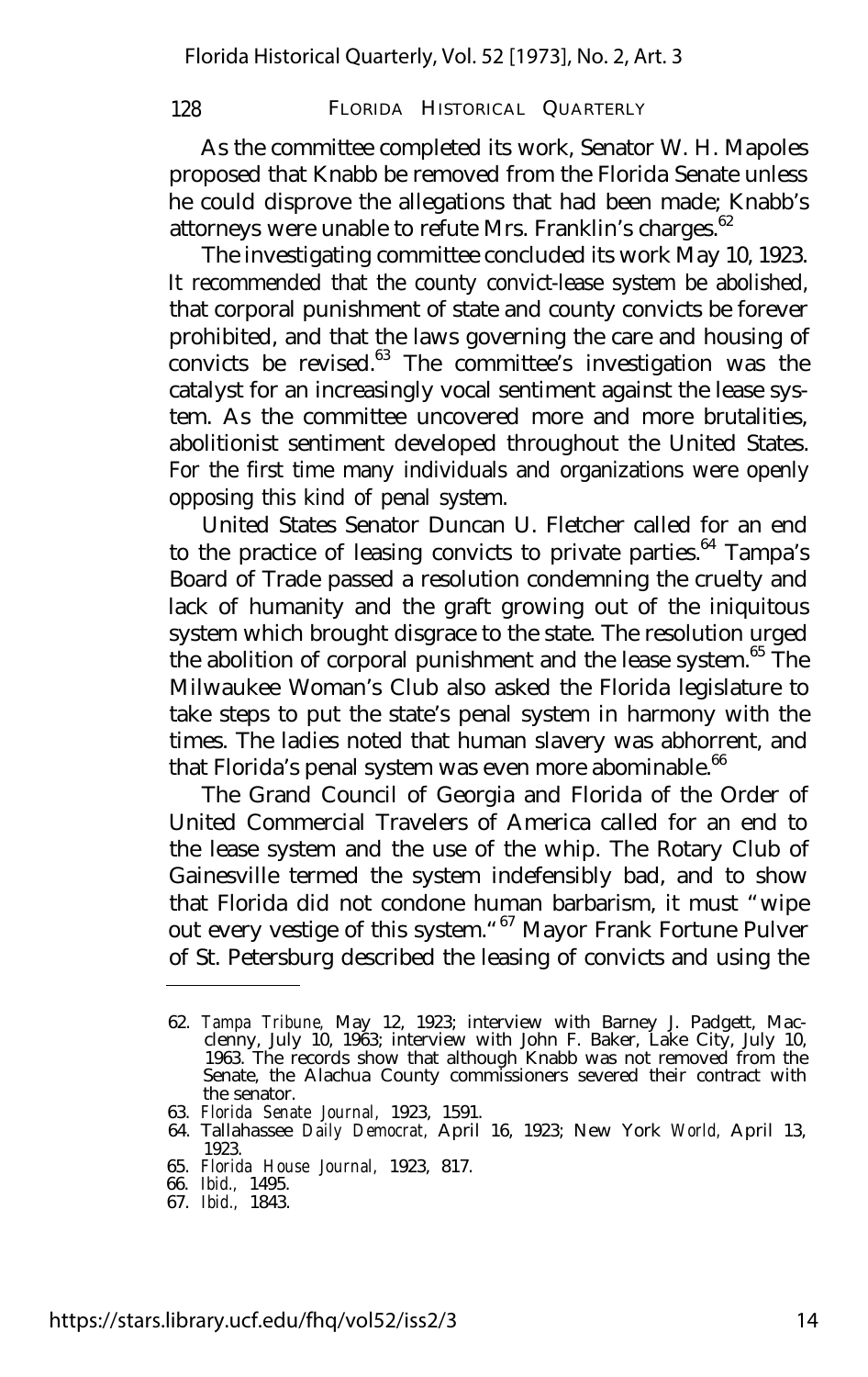As the committee completed its work, Senator W. H. Mapoles proposed that Knabb be removed from the Florida Senate unless he could disprove the allegations that had been made; Knabb's attorneys were unable to refute Mrs. Franklin's charges.<sup>62</sup>

The investigating committee concluded its work May 10, 1923. It recommended that the county convict-lease system be abolished, that corporal punishment of state and county convicts be forever prohibited, and that the laws governing the care and housing of convicts be revised. $63$  The committee's investigation was the catalyst for an increasingly vocal sentiment against the lease system. As the committee uncovered more and more brutalities, abolitionist sentiment developed throughout the United States. For the first time many individuals and organizations were openly opposing this kind of penal system.

United States Senator Duncan U. Fletcher called for an end to the practice of leasing convicts to private parties.<sup>64</sup> Tampa's Board of Trade passed a resolution condemning the cruelty and lack of humanity and the graft growing out of the iniquitous system which brought disgrace to the state. The resolution urged the abolition of corporal punishment and the lease system.<sup>65</sup> The Milwaukee Woman's Club also asked the Florida legislature to take steps to put the state's penal system in harmony with the times. The ladies noted that human slavery was abhorrent, and that Florida's penal system was even more abominable. $66$ 

The Grand Council of Georgia and Florida of the Order of United Commercial Travelers of America called for an end to the lease system and the use of the whip. The Rotary Club of Gainesville termed the system indefensibly bad, and to show that Florida did not condone human barbarism, it must "wipe out every vestige of this system."<sup>67</sup> Mayor Frank Fortune Pulver of St. Petersburg described the leasing of convicts and using the

<sup>62.</sup> *Tampa Tribune,* May 12, 1923; interview with Barney J. Padgett, Mac-clenny, July 10, 1963; interview with John F. Baker, Lake City, July 10, 1963. The records show that although Knabb was not removed from the Senate, the Alachua County commissioners severed their contract with the senator.

<sup>63.</sup> *Florida Senate Journal,* 1923, 1591. 64. Tallahassee *Daily Democrat,* April 16, 1923; New York *World,* April 13, 1923.

<sup>65.</sup> *Florida House Journal,* 1923, 817.

<sup>66.</sup> *Ibid.,* 1495.

<sup>67.</sup> *Ibid.,* 1843.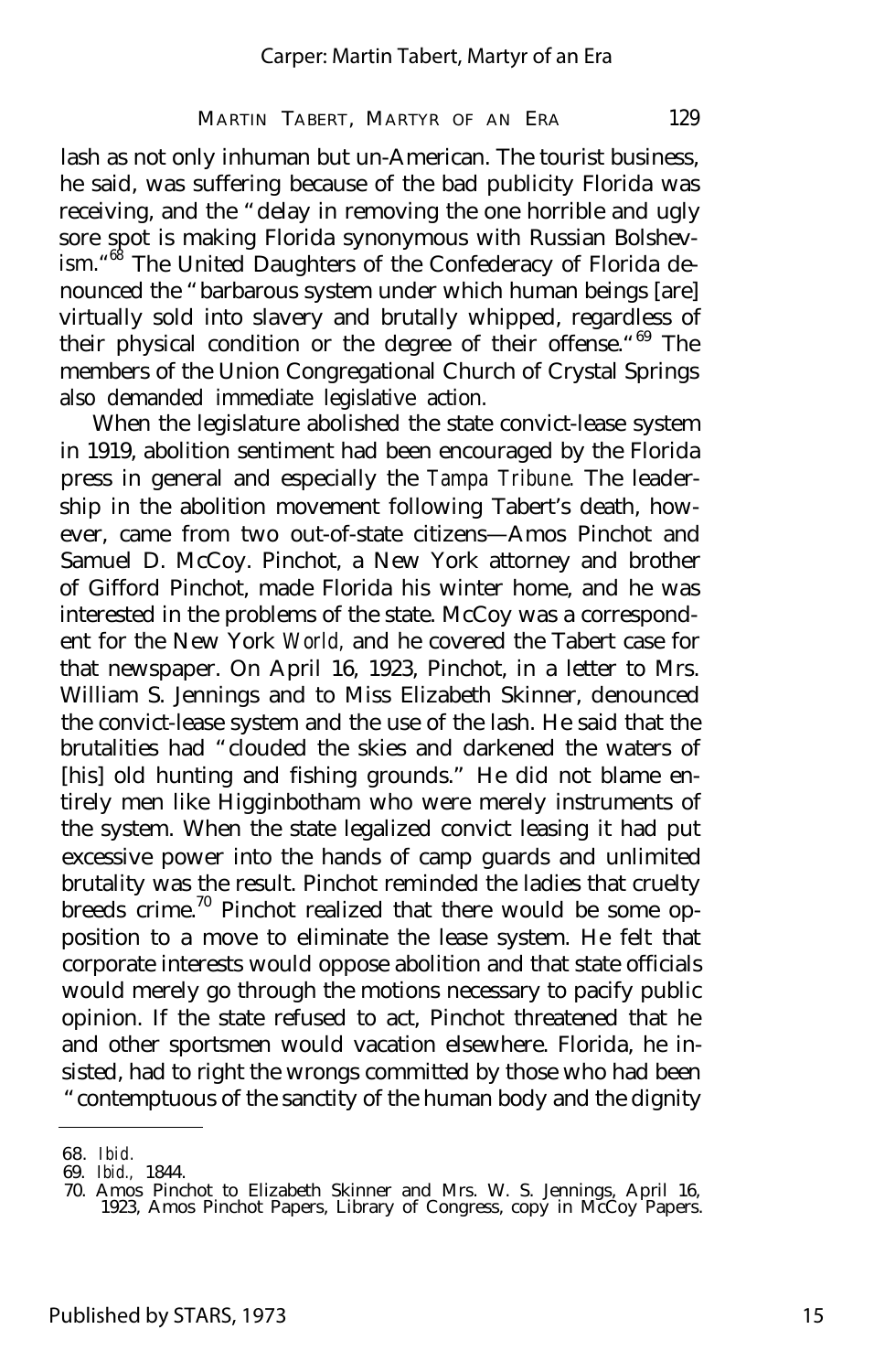lash as not only inhuman but un-American. The tourist business, he said, was suffering because of the bad publicity Florida was receiving, and the "delay in removing the one horrible and ugly sore spot is making Florida synonymous with Russian Bolshevism. "<sup>68</sup> The United Daughters of the Confederacy of Florida denounced the "barbarous system under which human beings [are] virtually sold into slavery and brutally whipped, regardless of their physical condition or the degree of their offense."<sup>69</sup> The members of the Union Congregational Church of Crystal Springs also demanded immediate legislative action.

When the legislature abolished the state convict-lease system in 1919, abolition sentiment had been encouraged by the Florida press in general and especially the *Tampa Tribune.* The leadership in the abolition movement following Tabert's death, however, came from two out-of-state citizens— Amos Pinchot and Samuel D. McCoy. Pinchot, a New York attorney and brother of Gifford Pinchot, made Florida his winter home, and he was interested in the problems of the state. McCoy was a correspondent for the New York *World,* and he covered the Tabert case for that newspaper. On April 16, 1923, Pinchot, in a letter to Mrs. William S. Jennings and to Miss Elizabeth Skinner, denounced the convict-lease system and the use of the lash. He said that the brutalities had "clouded the skies and darkened the waters of [his] old hunting and fishing grounds." He did not blame entirely men like Higginbotham who were merely instruments of the system. When the state legalized convict leasing it had put excessive power into the hands of camp guards and unlimited brutality was the result. Pinchot reminded the ladies that cruelty breeds crime.<sup>70</sup> Pinchot realized that there would be some opposition to a move to eliminate the lease system. He felt that corporate interests would oppose abolition and that state officials would merely go through the motions necessary to pacify public opinion. If the state refused to act, Pinchot threatened that he and other sportsmen would vacation elsewhere. Florida, he insisted, had to right the wrongs committed by those who had been "contemptuous of the sanctity of the human body and the dignity

<sup>68.</sup> *Ibid.*

<sup>69.</sup> *Ibid.,* 1844.

<sup>70.</sup> Amos Pinchot to Elizabeth Skinner and Mrs. W. S. Jennings, April 16, 1923, Amos Pinchot Papers, Library of Congress, copy in McCoy Papers.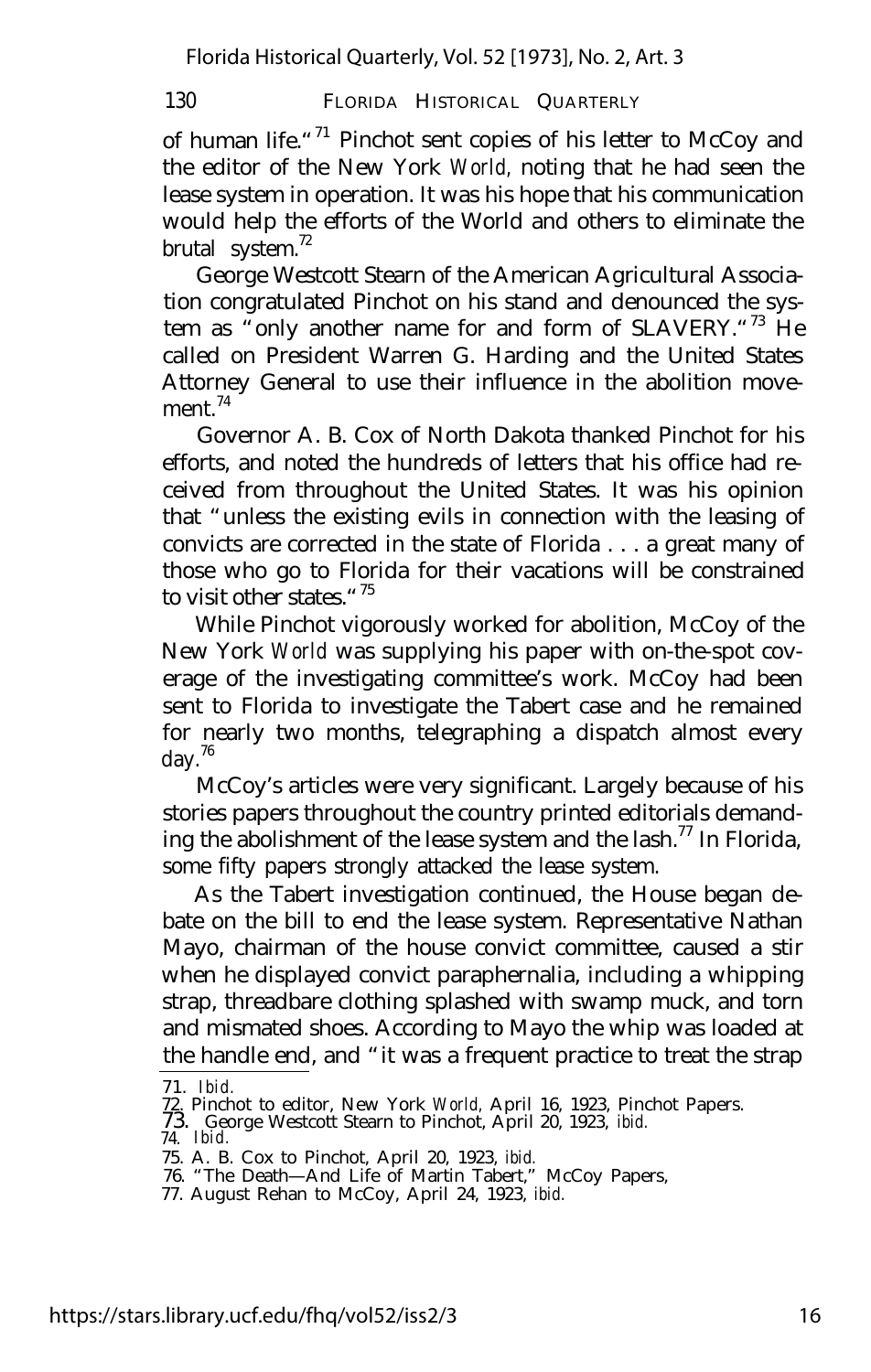of human life.<sup>" 71</sup> Pinchot sent copies of his letter to McCoy and the editor of the New York *World,* noting that he had seen the lease system in operation. It was his hope that his communication would help the efforts of the World and others to eliminate the brutal system.<sup>72</sup>

George Westcott Stearn of the American Agricultural Association congratulated Pinchot on his stand and denounced the system as "only another name for and form of SLAVERY."<sup>73</sup> He called on President Warren G. Harding and the United States Attorney General to use their influence in the abolition movement<sup>74</sup>

Governor A. B. Cox of North Dakota thanked Pinchot for his efforts, and noted the hundreds of letters that his office had received from throughout the United States. It was his opinion that "unless the existing evils in connection with the leasing of convicts are corrected in the state of Florida . . . a great many of those who go to Florida for their vacations will be constrained to visit other states."<sup>75</sup>

While Pinchot vigorously worked for abolition, McCoy of the New York *World* was supplying his paper with on-the-spot coverage of the investigating committee's work. McCoy had been sent to Florida to investigate the Tabert case and he remained for nearly two months, telegraphing a dispatch almost every  $\rm{dav.}^{76}$ 

McCoy's articles were very significant. Largely because of his stories papers throughout the country printed editorials demanding the abolishment of the lease system and the lash.<sup>77</sup> In Florida, some fifty papers strongly attacked the lease system.

As the Tabert investigation continued, the House began debate on the bill to end the lease system. Representative Nathan Mayo, chairman of the house convict committee, caused a stir when he displayed convict paraphernalia, including a whipping strap, threadbare clothing splashed with swamp muck, and torn and mismated shoes. According to Mayo the whip was loaded at the handle end, and "it was a frequent practice to treat the strap

<sup>71.</sup> *Ibid.* 72. Pinchot to editor, New York *World,* April 16, 1923, Pinchot Papers. 73. George Westcott Stearn to Pinchot, April 20, 1923, *ibid.* 74. *Ibid.*

<sup>75.</sup> A. B. Cox to Pinchot, April 20, 1923, *ibid.* 76. "The Death— And Life of Martin Tabert," McCoy Papers,

<sup>77.</sup> August Rehan to McCoy, April 24, 1923, *ibid.*